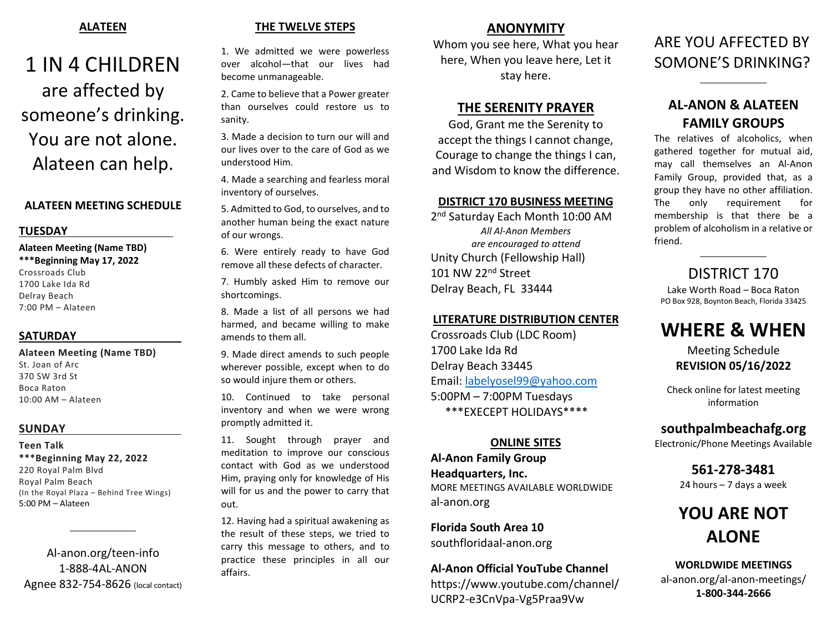## ALATEEN

# 1 IN 4 CHILDREN are affected by someone's drinking. You are not alone. Alateen can help.

## ALATEEN MEETING SCHEDULE

### **TUESDAY**

### Alateen Meeting (Name TBD) \*\*\*Beginning May 17, 2022

Crossroads Club 1700 Lake Ida Rd Delray Beach 7:00 PM – Alateen

## **SATURDAY**

Alateen Meeting (Name TBD) St. Joan of Arc 370 SW 3rd St Boca Raton 10:00 AM – Alateen

## SUNDAY

Teen Talk \*\*\*Beginning May 22, 2022 220 Royal Palm Blvd Royal Palm Beach (In the Royal Plaza – Behind Tree Wings) 5:00 PM – Alateen

 $\overline{a}$ 

Al-anon.org/teen-info 1-888-4AL-ANON Agnee 832-754-8626 (local contact)

# THE TWELVE STEPS

1. We admitted we were powerless over alcohol—that our lives had become unmanageable.

2. Came to believe that a Power greater than ourselves could restore us to sanity.

3. Made a decision to turn our will and our lives over to the care of God as we understood Him.

4. Made a searching and fearless moral inventory of ourselves.

5. Admitted to God, to ourselves, and to another human being the exact nature of our wrongs.

6. Were entirely ready to have God remove all these defects of character.

7. Humbly asked Him to remove our shortcomings.

8. Made a list of all persons we had harmed, and became willing to make amends to them all.

9. Made direct amends to such people wherever possible, except when to do so would injure them or others.

10. Continued to take personal inventory and when we were wrong promptly admitted it.

11. Sought through prayer and meditation to improve our conscious contact with God as we understood Him, praying only for knowledge of His will for us and the power to carry that out.

12. Having had a spiritual awakening as the result of these steps, we tried to carry this message to others, and to practice these principles in all our affairs.

# ANONYMITY

Whom you see here, What you hear here, When you leave here, Let it stay here.

# THE SERENITY PRAYER

God, Grant me the Serenity to accept the things I cannot change, Courage to change the things I can, and Wisdom to know the difference.

### DISTRICT 170 BUSINESS MEETING

2 nd Saturday Each Month 10:00 AM All Al-Anon Members are encouraged to attend Unity Church (Fellowship Hall) 101 NW 22<sup>nd</sup> Street Delray Beach, FL 33444

### LITERATURE DISTRIBUTION CENTER

Crossroads Club (LDC Room) 1700 Lake Ida Rd Delray Beach 33445 Email: labelyosel99@yahoo.com 5:00PM – 7:00PM Tuesdays \*\*\*EXECEPT HOLIDAYS\*\*\*\*

# ONLINE SITES

Al-Anon Family Group Headquarters, Inc. MORE MEETINGS AVAILABLE WORLDWIDE al-anon.org

Florida South Area 10 southfloridaal-anon.org

### Al-Anon Official YouTube Channel

https://www.youtube.com/channel/ UCRP2-e3CnVpa-Vg5Praa9Vw

# ARE YOU AFFECTED BY SOMONE'S DRINKING?

 $\overline{a}$ 

l

# AL-ANON & ALATEEN FAMILY GROUPS

The relatives of alcoholics, when gathered together for mutual aid, may call themselves an Al-Anon Family Group, provided that, as a group they have no other affiliation. The only requirement for membership is that there be a problem of alcoholism in a relative or friend.

# DISTRICT 170

Lake Worth Road – Boca Raton PO Box 928, Boynton Beach, Florida 33425

# WHERE & WHEN

Meeting Schedule REVISION 05/16/2022

Check online for latest meeting information

# southpalmbeachafg.org

Electronic/Phone Meetings Available

561-278-3481 24 hours – 7 days a week

# YOU ARE NOT ALONE

WORLDWIDE MEETINGS al-anon.org/al-anon-meetings/ 1-800-344-2666